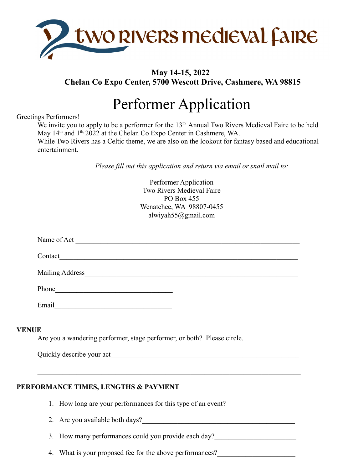

# **May 14-15, 2022 Chelan Co Expo Center, 5700 Wescott Drive, Cashmere, WA 98815**

# Performer Application

## Greetings Performers!

We invite you to apply to be a performer for the  $13<sup>th</sup>$  Annual Two Rivers Medieval Faire to be held May 14<sup>th</sup> and 1<sup>th, 2022</sup> at the Chelan Co Expo Center in Cashmere, WA. While Two Rivers has a Celtic theme, we are also on the lookout for fantasy based and educational

entertainment.

*Please fill out this application and return via email or snail mail to:*

|              | Performer Application<br>Two Rivers Medieval Faire                                                                                                                                                                             |
|--------------|--------------------------------------------------------------------------------------------------------------------------------------------------------------------------------------------------------------------------------|
|              | PO Box 455<br>Wenatchee, WA 98807-0455<br>alwiyah $55@g$ mail.com                                                                                                                                                              |
|              |                                                                                                                                                                                                                                |
|              | Name of Act                                                                                                                                                                                                                    |
|              | Contact Contact Contact Contact Contact Contact Contact Contact Contact Contact Contact Contact Contact Contact Contact Contact Contact Contact Contact Contact Contact Contact Contact Contact Contact Contact Contact Contac |
|              | Mailing Address Manual Communication of the Mailing Address                                                                                                                                                                    |
|              |                                                                                                                                                                                                                                |
|              |                                                                                                                                                                                                                                |
| <b>VENUE</b> | Are you a wandering performer, stage performer, or both? Please circle.                                                                                                                                                        |
|              | Quickly describe your act                                                                                                                                                                                                      |

# **PERFORMANCE TIMES, LENGTHS & PAYMENT**

1. How long are your performances for this type of an event?

 $\mathcal{L} = \{ \mathcal{L} \mathcal{L} \mathcal{L} \mathcal{L} \mathcal{L} \mathcal{L} \mathcal{L} \mathcal{L} \mathcal{L} \mathcal{L} \mathcal{L} \mathcal{L} \mathcal{L} \mathcal{L} \mathcal{L} \mathcal{L} \mathcal{L} \mathcal{L} \mathcal{L} \mathcal{L} \mathcal{L} \mathcal{L} \mathcal{L} \mathcal{L} \mathcal{L} \mathcal{L} \mathcal{L} \mathcal{L} \mathcal{L} \mathcal{L} \mathcal{L} \mathcal{L} \mathcal{L} \mathcal{L} \mathcal{L} \$ 

2. Are you available both days?

3. How many performances could you provide each day?

4. What is your proposed fee for the above performances?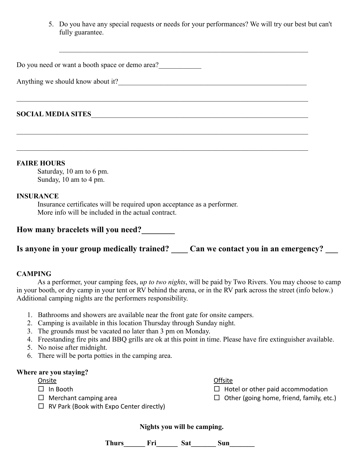5. Do you have any special requests or needs for your performances? We will try our best but can't fully guarantee.

Do you need or want a booth space or demo area?

Anything we should know about it?\_\_\_\_\_\_\_\_\_\_\_\_\_\_\_\_\_\_\_\_\_\_\_\_\_\_\_\_\_\_\_\_\_\_\_\_\_\_\_\_\_\_\_\_\_\_\_\_\_\_\_\_\_

# **SOCIAL MEDIA SITES**\_\_\_\_\_\_\_\_\_\_\_\_\_\_\_\_\_\_\_\_\_\_\_\_\_\_\_\_\_\_\_\_\_\_\_\_\_\_\_\_\_\_\_\_\_\_\_\_\_\_\_\_\_\_\_\_\_\_\_\_\_

#### **FAIRE HOURS**

Saturday, 10 am to 6 pm. Sunday, 10 am to 4 pm.

#### **INSURANCE**

Insurance certificates will be required upon acceptance as a performer. More info will be included in the actual contract.

| How many bracelets will you need? |  |  |  |  |
|-----------------------------------|--|--|--|--|
|-----------------------------------|--|--|--|--|

Is anyone in your group medically trained? Can we contact you in an emergency?

#### **CAMPING**

As a performer, your camping fees, *up to two nights*, will be paid by Two Rivers. You may choose to camp in your booth, or dry camp in your tent or RV behind the arena, or in the RV park across the street (info below.) Additional camping nights are the performers responsibility.

- 1. Bathrooms and showers are available near the front gate for onsite campers.
- 2. Camping is available in this location Thursday through Sunday night.
- 3. The grounds must be vacated no later than 3 pm on Monday.
- 4. Freestanding fire pits and BBQ grills are ok at this point in time. Please have fire extinguisher available.
- 5. No noise after midnight.
- 6. There will be porta potties in the camping area.

#### **Where are you staying?**

- **Onsite**
- $\Box$  In Booth
- $\Box$  Merchant camping area
- $\Box$  RV Park (Book with Expo Center directly)

**Nights you will be camping.**

Thurs Fri Sat Sun

**Offsite** 

 $\Box$  Hotel or other paid accommodation

 $\Box$  Other (going home, friend, family, etc.)